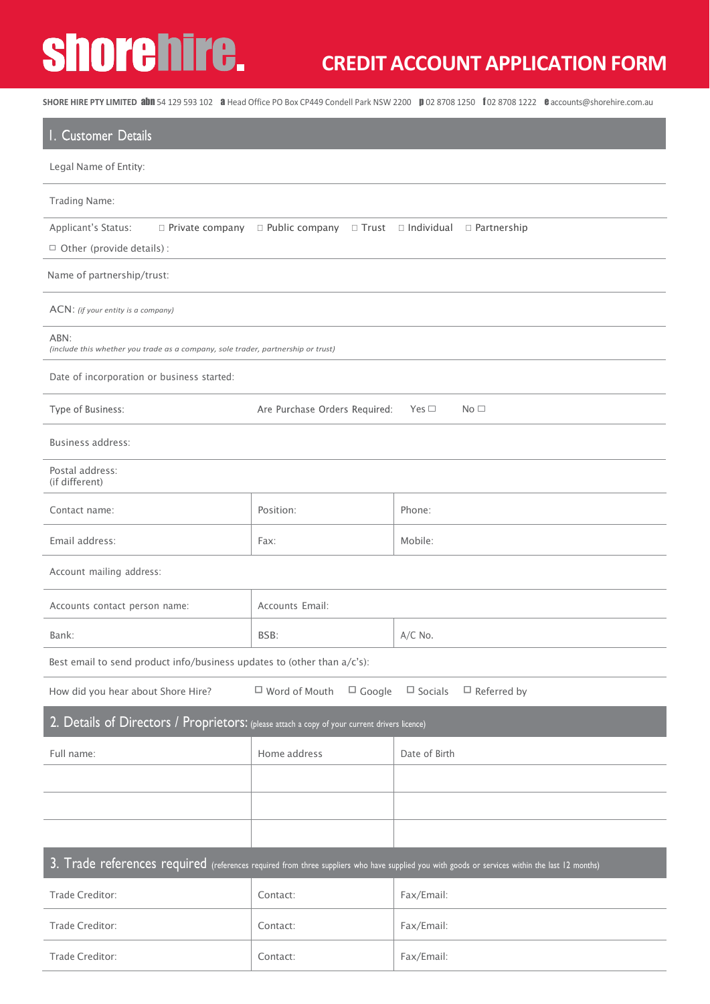# shorehire.

## **CREDIT ACCOUNT APPLICATION FORM**

SHORE HIRE PTY LIMITED **abn** 54 129 593 102 a Head Office PO Box CP449 Condell Park NSW 2200 **p** 02 8708 1250 f 02 8708 1222 c[accounts@shorehire.com.au](mailto:accounts@shorehire.com.au)

| I. Customer Details                                                                                                                            |                                                                   |                                      |  |  |  |
|------------------------------------------------------------------------------------------------------------------------------------------------|-------------------------------------------------------------------|--------------------------------------|--|--|--|
| Legal Name of Entity:                                                                                                                          |                                                                   |                                      |  |  |  |
| Trading Name:                                                                                                                                  |                                                                   |                                      |  |  |  |
| Applicant's Status:<br>$\Box$ Private company<br>$\Box$ Other (provide details) :                                                              | □ Public company                                                  | □ Trust □ Individual □ Partnership   |  |  |  |
| Name of partnership/trust:                                                                                                                     |                                                                   |                                      |  |  |  |
| ACN: (if your entity is a company)                                                                                                             |                                                                   |                                      |  |  |  |
| ABN:<br>(include this whether you trade as a company, sole trader, partnership or trust)                                                       |                                                                   |                                      |  |  |  |
| Date of incorporation or business started:                                                                                                     |                                                                   |                                      |  |  |  |
| Type of Business:                                                                                                                              | Are Purchase Orders Required:<br>Yes $\square$<br>No <sub>1</sub> |                                      |  |  |  |
| Business address:                                                                                                                              |                                                                   |                                      |  |  |  |
| Postal address:<br>(if different)                                                                                                              |                                                                   |                                      |  |  |  |
| Contact name:                                                                                                                                  | Position:                                                         | Phone:                               |  |  |  |
| Email address:                                                                                                                                 | Fax:                                                              | Mobile:                              |  |  |  |
| Account mailing address:                                                                                                                       |                                                                   |                                      |  |  |  |
| Accounts contact person name:                                                                                                                  | Accounts Email:                                                   |                                      |  |  |  |
| Bank:                                                                                                                                          | BSB:                                                              | $A/C$ No.                            |  |  |  |
| Best email to send product info/business updates to (other than a/c's):                                                                        |                                                                   |                                      |  |  |  |
| How did you hear about Shore Hire?                                                                                                             | $\Box$ Google<br>$\Box$ Word of Mouth                             | $\Box$ Socials<br>$\Box$ Referred by |  |  |  |
| 2. Details of Directors / Proprietors: (please attach a copy of your current drivers licence)                                                  |                                                                   |                                      |  |  |  |
| Full name:                                                                                                                                     | Home address                                                      | Date of Birth                        |  |  |  |
|                                                                                                                                                |                                                                   |                                      |  |  |  |
|                                                                                                                                                |                                                                   |                                      |  |  |  |
|                                                                                                                                                |                                                                   |                                      |  |  |  |
| 3. Trade references required (references required from three suppliers who have supplied you with goods or services within the last 12 months) |                                                                   |                                      |  |  |  |
| Trade Creditor:                                                                                                                                | Contact:                                                          | Fax/Email:                           |  |  |  |
| Trade Creditor:                                                                                                                                | Contact:                                                          | Fax/Email:                           |  |  |  |
|                                                                                                                                                |                                                                   |                                      |  |  |  |

Trade Creditor:  $|$  Contact:  $|$  Fax/Email: